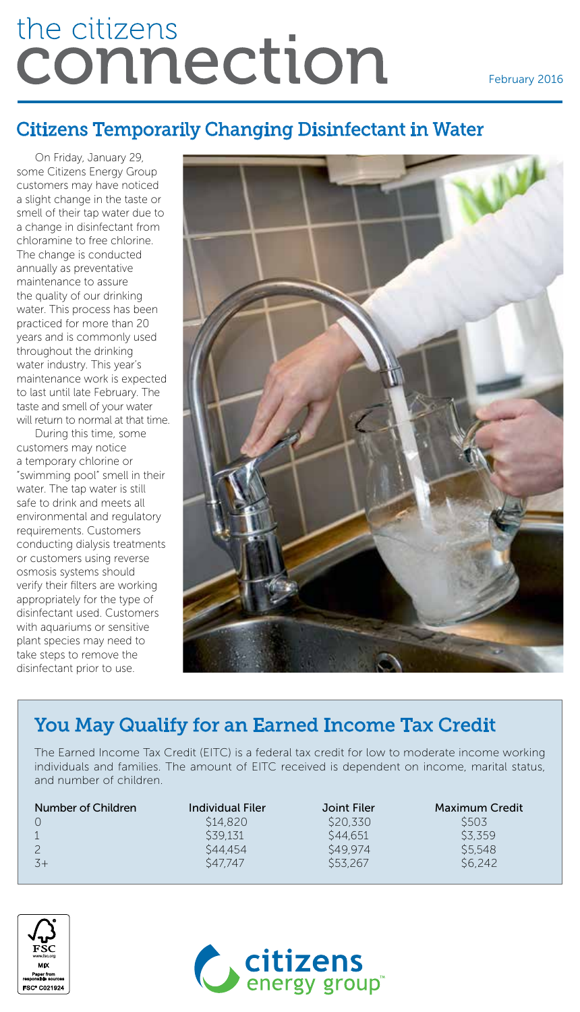# the citizens connection

#### February 2016

## Citizens Temporarily Changing Disinfectant in Water

On Friday, January 29, some Citizens Energy Group customers may have noticed a slight change in the taste or smell of their tap water due to a change in disinfectant from chloramine to free chlorine. The change is conducted annually as preventative maintenance to assure the quality of our drinking water. This process has been practiced for more than 20 years and is commonly used throughout the drinking water industry. This year's maintenance work is expected to last until late February. The taste and smell of your water will return to normal at that time.

During this time, some customers may notice a temporary chlorine or "swimming pool" smell in their water. The tap water is still safe to drink and meets all environmental and regulatory requirements. Customers conducting dialysis treatments or customers using reverse osmosis systems should verify their filters are working appropriately for the type of disinfectant used. Customers with aquariums or sensitive plant species may need to take steps to remove the disinfectant prior to use.



# You May Qualify for an Earned Income Tax Credit

The Earned Income Tax Credit (EITC) is a federal tax credit for low to moderate income working individuals and families. The amount of EITC received is dependent on income, marital status, and number of children.

| Number of Children | Individual Filer | Joint Filer         | <b>Maximum Credit</b> |
|--------------------|------------------|---------------------|-----------------------|
|                    | \$14,820         | \$20.330            | S503                  |
|                    | \$39.131         | S44.651             | \$3,359               |
|                    | \$44.454         | S <sub>49</sub> 974 | \$5,548               |
| $-3+$              | S47.747          | S53.267             | S <sub>6.242</sub>    |